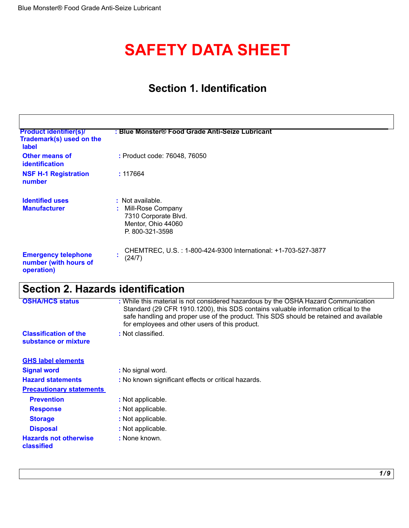# **SAFETY DATA SHEET**

# **Section 1. Identification**

| <b>Product identifier(s)/</b><br>Trademark(s) used on the<br><b>label</b> | : Blue Monster® Food Grade Anti-Seize Lubricant                                                        |
|---------------------------------------------------------------------------|--------------------------------------------------------------------------------------------------------|
| <b>Other means of</b><br>identification                                   | : Product code: 76048, 76050                                                                           |
| <b>NSF H-1 Registration</b><br>number                                     | : 117664                                                                                               |
| <b>Identified uses</b><br><b>Manufacturer</b>                             | : Not available.<br>Mill-Rose Company<br>7310 Corporate Blvd.<br>Mentor, Ohio 44060<br>P. 800-321-3598 |
| <b>Emergency telephone</b><br>number (with hours of<br>operation)         | CHEMTREC, U.S.: 1-800-424-9300 International: +1-703-527-3877<br>$\blacksquare$<br>(24/7)              |

# **Section 2. Hazards identification**

| <b>OSHA/HCS status</b>                     | : While this material is not considered hazardous by the OSHA Hazard Communication<br>Standard (29 CFR 1910.1200), this SDS contains valuable information critical to the<br>safe handling and proper use of the product. This SDS should be retained and available<br>for employees and other users of this product. |
|--------------------------------------------|-----------------------------------------------------------------------------------------------------------------------------------------------------------------------------------------------------------------------------------------------------------------------------------------------------------------------|
| <b>Classification of the</b>               | : Not classified.                                                                                                                                                                                                                                                                                                     |
| substance or mixture                       |                                                                                                                                                                                                                                                                                                                       |
|                                            |                                                                                                                                                                                                                                                                                                                       |
| <b>GHS label elements</b>                  |                                                                                                                                                                                                                                                                                                                       |
| <b>Signal word</b>                         | : No signal word.                                                                                                                                                                                                                                                                                                     |
| <b>Hazard statements</b>                   | : No known significant effects or critical hazards.                                                                                                                                                                                                                                                                   |
| <b>Precautionary statements</b>            |                                                                                                                                                                                                                                                                                                                       |
| <b>Prevention</b>                          | : Not applicable.                                                                                                                                                                                                                                                                                                     |
| <b>Response</b>                            | : Not applicable.                                                                                                                                                                                                                                                                                                     |
| <b>Storage</b>                             | : Not applicable.                                                                                                                                                                                                                                                                                                     |
| <b>Disposal</b>                            | : Not applicable.                                                                                                                                                                                                                                                                                                     |
| <b>Hazards not otherwise</b><br>classified | : None known.                                                                                                                                                                                                                                                                                                         |
|                                            |                                                                                                                                                                                                                                                                                                                       |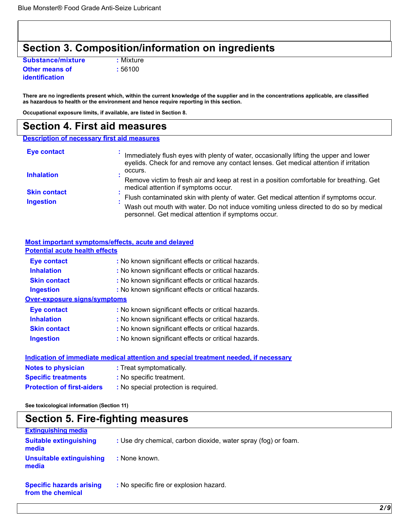# **Section 3. Composition/information on ingredients**

**Substance/mixture : Mixture Other means of : 56100 identification** 

**There are no ingredients present which, within the current knowledge of the supplier and in the concentrations applicable, are classified as hazardous to health or the environment and hence require reporting in this section.** 

**Occupational exposure limits, if available, are listed in Section 8.** 

### **Section 4. First aid measures**

| <b>Description of necessary first aid measures</b> |                                                                                                                                                                                                                                        |
|----------------------------------------------------|----------------------------------------------------------------------------------------------------------------------------------------------------------------------------------------------------------------------------------------|
| <b>Eye contact</b>                                 | Immediately flush eyes with plenty of water, occasionally lifting the upper and lower<br>eyelids. Check for and remove any contact lenses. Get medical attention if irritation                                                         |
| <b>Inhalation</b>                                  | occurs.<br>Remove victim to fresh air and keep at rest in a position comfortable for breathing. Get<br>medical attention if symptoms occur.                                                                                            |
| <b>Skin contact</b><br><b>Ingestion</b>            | Flush contaminated skin with plenty of water. Get medical attention if symptoms occur.<br>Wash out mouth with water. Do not induce vomiting unless directed to do so by medical<br>personnel. Get medical attention if symptoms occur. |

| <b>Potential acute health effects</b> |                                                                                      |
|---------------------------------------|--------------------------------------------------------------------------------------|
| <b>Eye contact</b>                    | : No known significant effects or critical hazards.                                  |
| <b>Inhalation</b>                     | : No known significant effects or critical hazards.                                  |
| <b>Skin contact</b>                   | : No known significant effects or critical hazards.                                  |
| <b>Ingestion</b>                      | : No known significant effects or critical hazards.                                  |
| <b>Over-exposure signs/symptoms</b>   |                                                                                      |
| <b>Eye contact</b>                    | : No known significant effects or critical hazards.                                  |
| <b>Inhalation</b>                     | : No known significant effects or critical hazards.                                  |
| <b>Skin contact</b>                   | : No known significant effects or critical hazards.                                  |
| <b>Ingestion</b>                      | : No known significant effects or critical hazards.                                  |
|                                       | Indication of immediate medical attention and special treatment needed, if necessary |
| <b>Notes to physician</b>             | : Treat symptomatically.                                                             |
| <b>Specific treatments</b>            | : No specific treatment.                                                             |
| <b>Protection of first-aiders</b>     | : No special protection is required.                                                 |

**See toxicological information (Section 11)** 

| <b>Section 5. Fire-fighting measures</b>             |                                                                |  |
|------------------------------------------------------|----------------------------------------------------------------|--|
| <b>Extinguishing media</b>                           |                                                                |  |
| <b>Suitable extinguishing</b><br>media               | : Use dry chemical, carbon dioxide, water spray (fog) or foam. |  |
| <b>Unsuitable extinguishing</b><br>media             | : None known.                                                  |  |
| <b>Specific hazards arising</b><br>from the chemical | : No specific fire or explosion hazard.                        |  |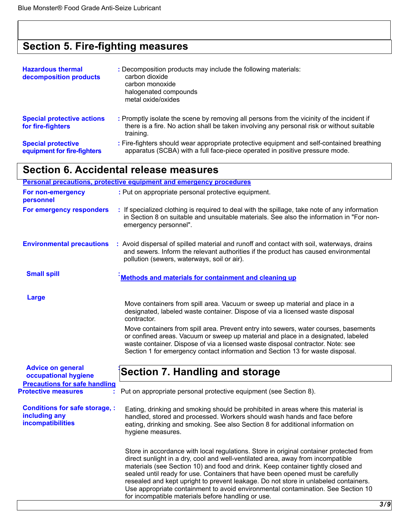# **Section 5. Fire-fighting measures**

| <b>Hazardous thermal</b><br>decomposition products       | : Decomposition products may include the following materials:<br>carbon dioxide<br>carbon monoxide<br>halogenated compounds<br>metal oxide/oxides                                                   |
|----------------------------------------------------------|-----------------------------------------------------------------------------------------------------------------------------------------------------------------------------------------------------|
| <b>Special protective actions</b><br>for fire-fighters   | : Promptly isolate the scene by removing all persons from the vicinity of the incident if<br>there is a fire. No action shall be taken involving any personal risk or without suitable<br>training. |
| <b>Special protective</b><br>equipment for fire-fighters | : Fire-fighters should wear appropriate protective equipment and self-contained breathing<br>apparatus (SCBA) with a full face-piece operated in positive pressure mode.                            |

# **Section 6. Accidental release measures**

|                                                                             | <b>Personal precautions, protective equipment and emergency procedures</b>                                                                                                                                                                                                                                                                                                                                                                                                                                                                                                       |     |
|-----------------------------------------------------------------------------|----------------------------------------------------------------------------------------------------------------------------------------------------------------------------------------------------------------------------------------------------------------------------------------------------------------------------------------------------------------------------------------------------------------------------------------------------------------------------------------------------------------------------------------------------------------------------------|-----|
| For non-emergency<br>personnel                                              | : Put on appropriate personal protective equipment.                                                                                                                                                                                                                                                                                                                                                                                                                                                                                                                              |     |
| For emergency responders                                                    | : If specialized clothing is required to deal with the spillage, take note of any information<br>in Section 8 on suitable and unsuitable materials. See also the information in "For non-<br>emergency personnel".                                                                                                                                                                                                                                                                                                                                                               |     |
| <b>Environmental precautions</b>                                            | : Avoid dispersal of spilled material and runoff and contact with soil, waterways, drains<br>and sewers. Inform the relevant authorities if the product has caused environmental<br>pollution (sewers, waterways, soil or air).                                                                                                                                                                                                                                                                                                                                                  |     |
| <b>Small spill</b>                                                          | Methods and materials for containment and cleaning up                                                                                                                                                                                                                                                                                                                                                                                                                                                                                                                            |     |
| Large                                                                       | Move containers from spill area. Vacuum or sweep up material and place in a<br>designated, labeled waste container. Dispose of via a licensed waste disposal<br>contractor.                                                                                                                                                                                                                                                                                                                                                                                                      |     |
|                                                                             | Move containers from spill area. Prevent entry into sewers, water courses, basements<br>or confined areas. Vacuum or sweep up material and place in a designated, labeled<br>waste container. Dispose of via a licensed waste disposal contractor. Note: see<br>Section 1 for emergency contact information and Section 13 for waste disposal.                                                                                                                                                                                                                                   |     |
| <b>Advice on general</b><br>occupational hygiene                            | Section 7. Handling and storage                                                                                                                                                                                                                                                                                                                                                                                                                                                                                                                                                  |     |
| <b>Precautions for safe handling</b><br><b>Protective measures</b>          | Put on appropriate personal protective equipment (see Section 8).                                                                                                                                                                                                                                                                                                                                                                                                                                                                                                                |     |
| <b>Conditions for safe storage, :</b><br>including any<br>incompatibilities | Eating, drinking and smoking should be prohibited in areas where this material is<br>handled, stored and processed. Workers should wash hands and face before<br>eating, drinking and smoking. See also Section 8 for additional information on<br>hygiene measures.                                                                                                                                                                                                                                                                                                             |     |
|                                                                             | Store in accordance with local regulations. Store in original container protected from<br>direct sunlight in a dry, cool and well-ventilated area, away from incompatible<br>materials (see Section 10) and food and drink. Keep container tightly closed and<br>sealed until ready for use. Containers that have been opened must be carefully<br>resealed and kept upright to prevent leakage. Do not store in unlabeled containers.<br>Use appropriate containment to avoid environmental contamination. See Section 10<br>for incompatible materials before handling or use. |     |
|                                                                             |                                                                                                                                                                                                                                                                                                                                                                                                                                                                                                                                                                                  | 3/9 |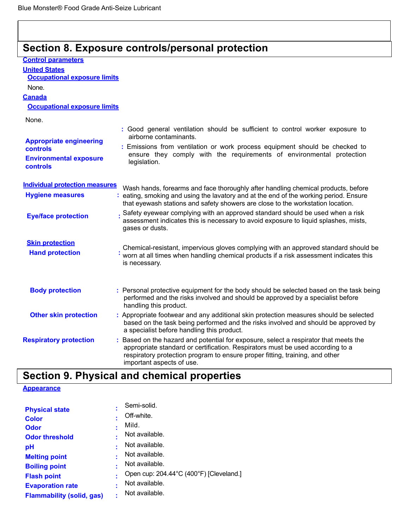# **Section 8. Exposure controls/personal protection**

| <b>Control parameters</b>                 |                                                                                                                                                                                                                                                                                     |
|-------------------------------------------|-------------------------------------------------------------------------------------------------------------------------------------------------------------------------------------------------------------------------------------------------------------------------------------|
| <b>United States</b>                      |                                                                                                                                                                                                                                                                                     |
| <b>Occupational exposure limits</b>       |                                                                                                                                                                                                                                                                                     |
| None.                                     |                                                                                                                                                                                                                                                                                     |
| <b>Canada</b>                             |                                                                                                                                                                                                                                                                                     |
| <b>Occupational exposure limits</b>       |                                                                                                                                                                                                                                                                                     |
| None.                                     |                                                                                                                                                                                                                                                                                     |
| <b>Appropriate engineering</b>            | : Good general ventilation should be sufficient to control worker exposure to<br>airborne contaminants.                                                                                                                                                                             |
| controls                                  | : Emissions from ventilation or work process equipment should be checked to                                                                                                                                                                                                         |
| <b>Environmental exposure</b><br>controls | ensure they comply with the requirements of environmental protection<br>legislation.                                                                                                                                                                                                |
| <b>Individual protection measures</b>     | Wash hands, forearms and face thoroughly after handling chemical products, before                                                                                                                                                                                                   |
| <b>Hygiene measures</b>                   | : eating, smoking and using the lavatory and at the end of the working period. Ensure<br>that eyewash stations and safety showers are close to the workstation location.                                                                                                            |
| <b>Eye/face protection</b>                | . Safety eyewear complying with an approved standard should be used when a risk<br>assessment indicates this is necessary to avoid exposure to liquid splashes, mists,<br>gases or dusts.                                                                                           |
| <b>Skin protection</b>                    |                                                                                                                                                                                                                                                                                     |
| <b>Hand protection</b>                    | Chemical-resistant, impervious gloves complying with an approved standard should be<br>worn at all times when handling chemical products if a risk assessment indicates this<br>is necessary.                                                                                       |
| <b>Body protection</b>                    | : Personal protective equipment for the body should be selected based on the task being<br>performed and the risks involved and should be approved by a specialist before<br>handling this product.                                                                                 |
| <b>Other skin protection</b>              | : Appropriate footwear and any additional skin protection measures should be selected<br>based on the task being performed and the risks involved and should be approved by<br>a specialist before handling this product.                                                           |
| <b>Respiratory protection</b>             | : Based on the hazard and potential for exposure, select a respirator that meets the<br>appropriate standard or certification. Respirators must be used according to a<br>respiratory protection program to ensure proper fitting, training, and other<br>important aspects of use. |

# **Section 9. Physical and chemical properties**

### **Appearance**

| <b>Physical state</b>            |   | Semi-solid.                             |
|----------------------------------|---|-----------------------------------------|
| <b>Color</b>                     |   | Off-white.                              |
| <b>Odor</b>                      |   | Mild.                                   |
| <b>Odor threshold</b>            |   | Not available.                          |
| рH                               |   | Not available.                          |
| <b>Melting point</b>             |   | Not available.                          |
| <b>Boiling point</b>             |   | Not available.                          |
| <b>Flash point</b>               |   | Open cup: 204.44°C (400°F) [Cleveland.] |
| <b>Evaporation rate</b>          | ٠ | Not available.                          |
| <b>Flammability (solid, gas)</b> |   | Not available.                          |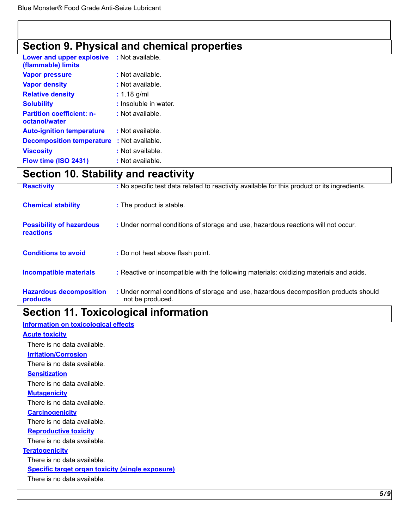# **Section 9. Physical and chemical properties**

| Lower and upper explosive<br>(flammable) limits   | : Not available.      |
|---------------------------------------------------|-----------------------|
| <b>Vapor pressure</b>                             | : Not available.      |
| <b>Vapor density</b>                              | : Not available.      |
| <b>Relative density</b>                           | $: 1.18$ g/ml         |
| <b>Solubility</b>                                 | : Insoluble in water. |
| <b>Partition coefficient: n-</b><br>octanol/water | : Not available.      |
| <b>Auto-ignition temperature</b>                  | : Not available.      |
| <b>Decomposition temperature</b>                  | : Not available.      |
| <b>Viscosity</b>                                  | : Not available.      |
| Flow time (ISO 2431)                              | : Not available.      |

# **Section 10. Stability and reactivity**

| <b>Reactivity</b>                                   | : No specific test data related to reactivity available for this product or its ingredients.              |
|-----------------------------------------------------|-----------------------------------------------------------------------------------------------------------|
| <b>Chemical stability</b>                           | : The product is stable.                                                                                  |
| <b>Possibility of hazardous</b><br><b>reactions</b> | : Under normal conditions of storage and use, hazardous reactions will not occur.                         |
| <b>Conditions to avoid</b>                          | : Do not heat above flash point.                                                                          |
| <b>Incompatible materials</b>                       | : Reactive or incompatible with the following materials: oxidizing materials and acids.                   |
| <b>Hazardous decomposition</b><br>products          | : Under normal conditions of storage and use, hazardous decomposition products should<br>not be produced. |

# **Section 11. Toxicological information**

### **Information on toxicological effects**

### **Acute toxicity**

There is no data available.

**Irritation/Corrosion**

There is no data available.

### **Sensitization**

There is no data available.

**Mutagenicity**

There is no data available.

**Carcinogenicity**

There is no data available.

### **Reproductive toxicity**

There is no data available.

### **Teratogenicity**

There is no data available.

### **Specific target organ toxicity (single exposure)**

There is no data available.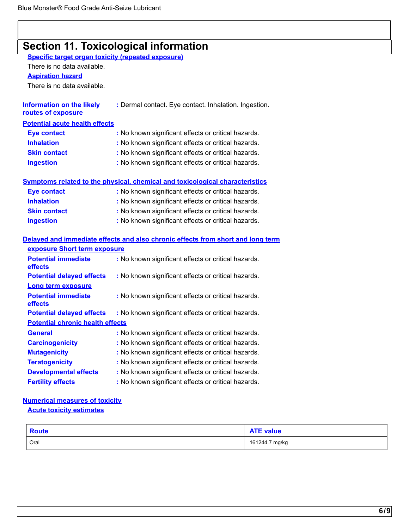# **Section 11. Toxicological information**

**Specific target organ toxicity (repeated exposure)** 

There is no data available.

**Aspiration hazard** 

There is no data available.

| <b>Information on the likely</b><br>routes of exposure | : Dermal contact. Eye contact. Inhalation. Ingestion. |
|--------------------------------------------------------|-------------------------------------------------------|
| <b>Potential acute health effects</b>                  |                                                       |
| <b>Eye contact</b>                                     | : No known significant effects or critical hazards.   |
| <b>Inhalation</b>                                      | : No known significant effects or critical hazards.   |
| <b>Skin contact</b>                                    | : No known significant effects or critical hazards.   |
| <b>Ingestion</b>                                       | : No known significant effects or critical hazards.   |
|                                                        |                                                       |

|  |  |  |  | Symptoms related to the physical, chemical and toxicological characteristics |
|--|--|--|--|------------------------------------------------------------------------------|
|  |  |  |  |                                                                              |

| Eye contact         | : No known significant effects or critical hazards. |
|---------------------|-----------------------------------------------------|
| <b>Inhalation</b>   | : No known significant effects or critical hazards. |
| <b>Skin contact</b> | : No known significant effects or critical hazards. |
| <b>Ingestion</b>    | : No known significant effects or critical hazards. |

### **Delayed and immediate effects and also chronic effects from short and long term exposure Short term exposure**

| <b>Potential immediate</b><br>effects   | : No known significant effects or critical hazards. |  |  |  |  |
|-----------------------------------------|-----------------------------------------------------|--|--|--|--|
| <b>Potential delayed effects</b>        | : No known significant effects or critical hazards. |  |  |  |  |
| <b>Long term exposure</b>               |                                                     |  |  |  |  |
| <b>Potential immediate</b><br>effects   | : No known significant effects or critical hazards. |  |  |  |  |
| <b>Potential delayed effects</b>        | : No known significant effects or critical hazards. |  |  |  |  |
| <b>Potential chronic health effects</b> |                                                     |  |  |  |  |
| <b>General</b>                          | : No known significant effects or critical hazards. |  |  |  |  |
| <b>Carcinogenicity</b>                  | : No known significant effects or critical hazards. |  |  |  |  |
| <b>Mutagenicity</b>                     | : No known significant effects or critical hazards. |  |  |  |  |
| <b>Teratogenicity</b>                   | : No known significant effects or critical hazards. |  |  |  |  |
| <b>Developmental effects</b>            | : No known significant effects or critical hazards. |  |  |  |  |
| <b>Fertility effects</b>                | : No known significant effects or critical hazards. |  |  |  |  |

### **Numerical measures of toxicity**

**Acute toxicity estimates** 

| <b>Route</b> | <b>ATE value</b> |
|--------------|------------------|
| Oral         | 161244.7 mg/kg   |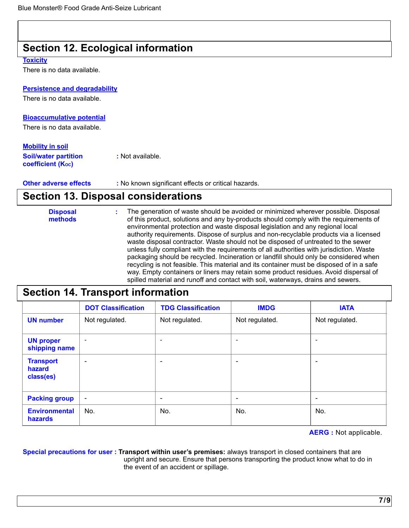## **Section 12. Ecological information**

### **Toxicity**

There is no data available.

### **Persistence and degradability**

There is no data available.

### **Bioaccumulative potential**

There is no data available.

### **Mobility in soil**

**Soil/water partition :** Not available. **coefficient (Koc)** 

### **Other adverse effects** : No known significant effects or critical hazards.

### **Section 13. Disposal considerations**

| <b>Disposal</b><br>methods | The generation of waste should be avoided or minimized wherever possible. Disposal<br>of this product, solutions and any by-products should comply with the requirements of<br>environmental protection and waste disposal legislation and any regional local<br>authority requirements. Dispose of surplus and non-recyclable products via a licensed<br>waste disposal contractor. Waste should not be disposed of untreated to the sewer<br>unless fully compliant with the requirements of all authorities with jurisdiction. Waste<br>packaging should be recycled. Incineration or landfill should only be considered when<br>recycling is not feasible. This material and its container must be disposed of in a safe |
|----------------------------|------------------------------------------------------------------------------------------------------------------------------------------------------------------------------------------------------------------------------------------------------------------------------------------------------------------------------------------------------------------------------------------------------------------------------------------------------------------------------------------------------------------------------------------------------------------------------------------------------------------------------------------------------------------------------------------------------------------------------|
|                            | way. Empty containers or liners may retain some product residues. Avoid dispersal of<br>spilled material and runoff and contact with soil, waterways, drains and sewers.                                                                                                                                                                                                                                                                                                                                                                                                                                                                                                                                                     |

# **Section 14. Transport information**

|                                         | <b>DOT Classification</b> | <b>TDG Classification</b> | <b>IMDG</b>              | <b>IATA</b>              |
|-----------------------------------------|---------------------------|---------------------------|--------------------------|--------------------------|
| <b>UN number</b>                        | Not regulated.            | Not regulated.            | Not regulated.           | Not regulated.           |
| <b>UN proper</b><br>shipping name       | $\overline{\phantom{0}}$  | $\overline{\phantom{0}}$  | $\overline{\phantom{a}}$ | $\overline{\phantom{0}}$ |
| <b>Transport</b><br>hazard<br>class(es) | $\overline{\phantom{0}}$  | $\overline{\phantom{a}}$  | $\overline{\phantom{a}}$ | $\overline{\phantom{a}}$ |
| <b>Packing group</b>                    | $\overline{\phantom{a}}$  | $\overline{\phantom{a}}$  | $\overline{\phantom{a}}$ | $\overline{\phantom{a}}$ |
| <b>Environmental</b><br>hazards         | No.                       | No.                       | No.                      | No.                      |

**AERG :** Not applicable.

**Special precautions for user : Transport within user's premises:** always transport in closed containers that are upright and secure. Ensure that persons transporting the product know what to do in the event of an accident or spillage.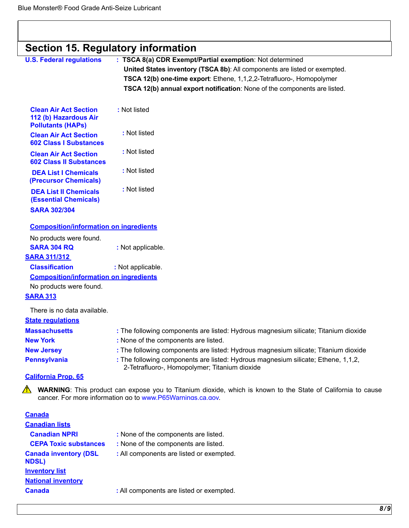|                                                                                   | <b>Section 15. Regulatory information</b>                                                                                                                                                                                                                                                   |  |  |  |  |
|-----------------------------------------------------------------------------------|---------------------------------------------------------------------------------------------------------------------------------------------------------------------------------------------------------------------------------------------------------------------------------------------|--|--|--|--|
| <b>U.S. Federal regulations</b>                                                   | : TSCA 8(a) CDR Exempt/Partial exemption: Not determined<br>United States inventory (TSCA 8b): All components are listed or exempted.<br>TSCA 12(b) one-time export: Ethene, 1,1,2,2-Tetrafluoro-, Homopolymer<br>TSCA 12(b) annual export notification: None of the components are listed. |  |  |  |  |
| <b>Clean Air Act Section</b><br>112 (b) Hazardous Air<br><b>Pollutants (HAPs)</b> | : Not listed                                                                                                                                                                                                                                                                                |  |  |  |  |
| <b>Clean Air Act Section</b><br><b>602 Class I Substances</b>                     | : Not listed                                                                                                                                                                                                                                                                                |  |  |  |  |
| <b>Clean Air Act Section</b><br><b>602 Class II Substances</b>                    | : Not listed                                                                                                                                                                                                                                                                                |  |  |  |  |
| <b>DEA List I Chemicals</b><br>(Precursor Chemicals)                              | : Not listed                                                                                                                                                                                                                                                                                |  |  |  |  |
| <b>DEA List II Chemicals</b><br><b>(Essential Chemicals)</b>                      | : Not listed                                                                                                                                                                                                                                                                                |  |  |  |  |
| <b>SARA 302/304</b>                                                               |                                                                                                                                                                                                                                                                                             |  |  |  |  |
| <b>Composition/information on ingredients</b>                                     |                                                                                                                                                                                                                                                                                             |  |  |  |  |
| No products were found.                                                           |                                                                                                                                                                                                                                                                                             |  |  |  |  |
| <b>SARA 304 RQ</b><br><b>SARA 311/312</b>                                         | : Not applicable.                                                                                                                                                                                                                                                                           |  |  |  |  |
| <b>Classification</b>                                                             | : Not applicable.                                                                                                                                                                                                                                                                           |  |  |  |  |
| <b>Composition/information on ingredients</b>                                     |                                                                                                                                                                                                                                                                                             |  |  |  |  |
| No products were found.                                                           |                                                                                                                                                                                                                                                                                             |  |  |  |  |
| <b>SARA 313</b>                                                                   |                                                                                                                                                                                                                                                                                             |  |  |  |  |
| There is no data available.<br><b>State regulations</b>                           |                                                                                                                                                                                                                                                                                             |  |  |  |  |
| <b>Massachusetts</b>                                                              | : The following components are listed: Hydrous magnesium silicate; Titanium dioxide                                                                                                                                                                                                         |  |  |  |  |
| <b>New York</b>                                                                   | : None of the components are listed.                                                                                                                                                                                                                                                        |  |  |  |  |
| <b>New Jersey</b>                                                                 | : The following components are listed: Hydrous magnesium silicate; Titanium dioxide                                                                                                                                                                                                         |  |  |  |  |
| <b>Pennsylvania</b>                                                               | : The following components are listed: Hydrous magnesium silicate; Ethene, 1,1,2,<br>2-Tetrafluoro-, Homopolymer; Titanium dioxide                                                                                                                                                          |  |  |  |  |
| <b>California Prop. 65</b>                                                        |                                                                                                                                                                                                                                                                                             |  |  |  |  |
| ⚠                                                                                 | <b>WARNING:</b> This product can expose you to Titanium dioxide, which is known to the State of California to cause<br>cancer. For more information go to www.P65Warnings.ca.gov.                                                                                                           |  |  |  |  |
| <b>Canada</b>                                                                     |                                                                                                                                                                                                                                                                                             |  |  |  |  |
| <b>Canadian lists</b>                                                             |                                                                                                                                                                                                                                                                                             |  |  |  |  |
| <b>Canadian NPRI</b>                                                              | : None of the components are listed.                                                                                                                                                                                                                                                        |  |  |  |  |
| <b>CEPA Toxic substances</b>                                                      | : None of the components are listed.                                                                                                                                                                                                                                                        |  |  |  |  |
| <b>Canada inventory (DSL</b>                                                      | : All components are listed or exempted.                                                                                                                                                                                                                                                    |  |  |  |  |

**NDSL)** 

**Inventory list National inventory** 

**Canada** : All components are listed or exempted.